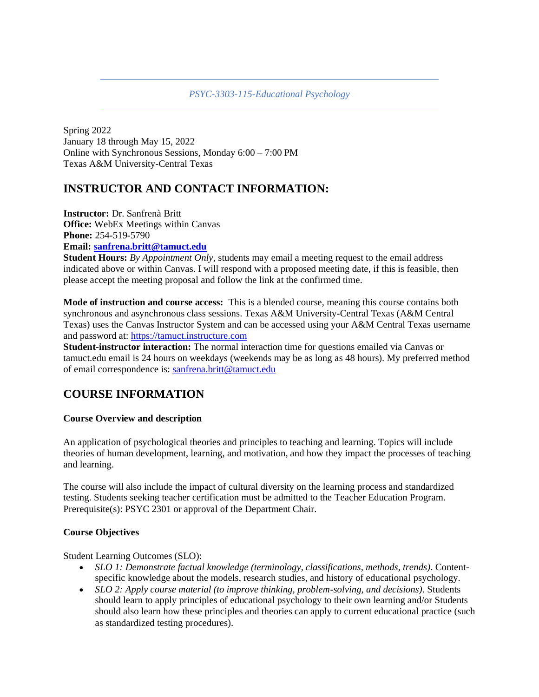*PSYC-3303-115-Educational Psychology*

Spring 2022 January 18 through May 15, 2022 Online with Synchronous Sessions, Monday 6:00 – 7:00 PM Texas A&M University-Central Texas

# **INSTRUCTOR AND CONTACT INFORMATION:**

**Instructor:** Dr. Sanfrenà Britt **Office:** WebEx Meetings within Canvas **Phone:** 254-519-5790

## **Email: [sanfrena.britt@tamuct.edu](mailto:sanfrena.britt@tamuct.edu)**

**Student Hours:** *By Appointment Only,* students may email a meeting request to the email address indicated above or within Canvas. I will respond with a proposed meeting date, if this is feasible, then please accept the meeting proposal and follow the link at the confirmed time.

**Mode of instruction and course access:** This is a blended course, meaning this course contains both synchronous and asynchronous class sessions. Texas A&M University-Central Texas (A&M Central Texas) uses the Canvas Instructor System and can be accessed using your A&M Central Texas username and password at[: https://tamuct.instructure.com](https://tamuct.instructure.com/)

**Student-instructor interaction:** The normal interaction time for questions emailed via Canvas or tamuct.edu email is 24 hours on weekdays (weekends may be as long as 48 hours). My preferred method of email correspondence is: [sanfrena.britt@tamuct.edu](mailto:sanfrena.britt@tamuct.edu)

# **COURSE INFORMATION**

#### **Course Overview and description**

An application of psychological theories and principles to teaching and learning. Topics will include theories of human development, learning, and motivation, and how they impact the processes of teaching and learning.

The course will also include the impact of cultural diversity on the learning process and standardized testing. Students seeking teacher certification must be admitted to the Teacher Education Program. Prerequisite(s): PSYC 2301 or approval of the Department Chair.

#### **Course Objectives**

Student Learning Outcomes (SLO):

- *SLO 1: Demonstrate factual knowledge (terminology, classifications, methods, trends)*. Contentspecific knowledge about the models, research studies, and history of educational psychology.
- *SLO 2: Apply course material (to improve thinking, problem-solving, and decisions)*. Students should learn to apply principles of educational psychology to their own learning and/or Students should also learn how these principles and theories can apply to current educational practice (such as standardized testing procedures).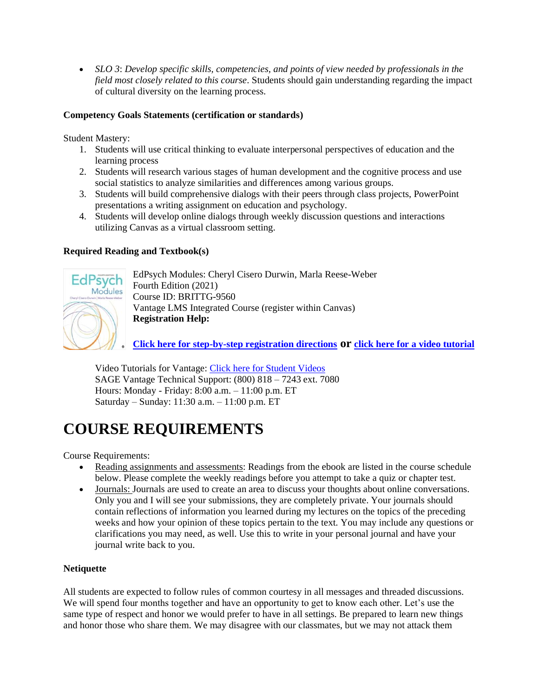• *SLO 3*: *Develop specific skills, competencies, and points of view needed by professionals in the field most closely related to this course*. Students should gain understanding regarding the impact of cultural diversity on the learning process.

#### **Competency Goals Statements (certification or standards)**

Student Mastery:

- 1. Students will use critical thinking to evaluate interpersonal perspectives of education and the learning process
- 2. Students will research various stages of human development and the cognitive process and use social statistics to analyze similarities and differences among various groups.
- 3. Students will build comprehensive dialogs with their peers through class projects, PowerPoint presentations a writing assignment on education and psychology.
- 4. Students will develop online dialogs through weekly discussion questions and interactions utilizing Canvas as a virtual classroom setting.

#### **Required Reading and Textbook(s)**



EdPsych Modules: Cheryl Cisero Durwin, Marla Reese-Weber Fourth Edition (2021) Course ID: BRITTG-9560 Vantage LMS Integrated Course (register within Canvas) **Registration Help:**

**[Click here for step-by-step registration directions](https://nam04.safelinks.protection.outlook.com/?url=https%3A%2F%2Fcrmri.crm.dynamics.com%2Fapi%2FEmailAnalytics%2FOpenLink%3FTrackingId%3Dc8a2f09a-4a5c-ec11-8f8f-6045bd006394%26ConversationTrackingId%3D2dd345d3-2d43-410d-ba7d-a8b478f588d2%26ClientType%3Dwebclient%26OrganizationId%3D0e716ee6-06cc-46ed-8216-5f14a3a83fa2%26Salt%3D01de5d55-611b-466e-a782-d62b6eb9216f%26RedirectUrl%3Dhttps%253a%252f%252fsagevantage.softwareassist.com%252fContent%252fDownloads%252fVantage_Registration_and_Purchase_Info_for_Standalone_courses.pdf%26ValidityToken%3DmFchGxunBXw6St2OJUNRhlKhh3GMKcglGT2e4jz0s9s%253d&data=04%7C01%7Csanfrena.britt%40tamuct.edu%7C904d270222c546d415ba08d9be6e906d%7C9eed4e3000f744849ff193ad8005acec%7C0%7C0%7C637750204353964591%7CUnknown%7CTWFpbGZsb3d8eyJWIjoiMC4wLjAwMDAiLCJQIjoiV2luMzIiLCJBTiI6Ik1haWwiLCJXVCI6Mn0%3D%7C2000&sdata=QVUeWwSqauqXCjvGJHNnXElzxzsuU90I%2BztA%2FzxgNig%3D&reserved=0) or [click here for a video tutorial](https://nam04.safelinks.protection.outlook.com/?url=https%3A%2F%2Fcrmri.crm.dynamics.com%2Fapi%2FEmailAnalytics%2FOpenLink%3FTrackingId%3Dc8a2f09a-4a5c-ec11-8f8f-6045bd006394%26ConversationTrackingId%3D2dd345d3-2d43-410d-ba7d-a8b478f588d2%26ClientType%3Dwebclient%26OrganizationId%3D0e716ee6-06cc-46ed-8216-5f14a3a83fa2%26Salt%3Dee6c5912-94e3-4e73-a3c4-6eeccd9a05b6%26RedirectUrl%3Dhttps%253a%252f%252fyoutu.be%252fw0n2LdABw90%26ValidityToken%3Dg67uHrO2VxQpy86tcp0mI0EtiIxk%252b3KaIyl2dBS%252f5%252bs%253d&data=04%7C01%7Csanfrena.britt%40tamuct.edu%7C904d270222c546d415ba08d9be6e906d%7C9eed4e3000f744849ff193ad8005acec%7C0%7C0%7C637750204353964591%7CUnknown%7CTWFpbGZsb3d8eyJWIjoiMC4wLjAwMDAiLCJQIjoiV2luMzIiLCJBTiI6Ik1haWwiLCJXVCI6Mn0%3D%7C2000&sdata=8UtaGSDecSco1BiTpJylStrTX2hKr8apoYTti9bAGMQ%3D&reserved=0)**

Video Tutorials for Vantage: [Click here for Student Videos](https://nam04.safelinks.protection.outlook.com/?url=https%3A%2F%2Fcrmri.crm.dynamics.com%2Fapi%2FEmailAnalytics%2FOpenLink%3FTrackingId%3Dc8a2f09a-4a5c-ec11-8f8f-6045bd006394%26ConversationTrackingId%3D2dd345d3-2d43-410d-ba7d-a8b478f588d2%26ClientType%3Dwebclient%26OrganizationId%3D0e716ee6-06cc-46ed-8216-5f14a3a83fa2%26Salt%3D5715ca26-69f3-4f9c-aed7-0187d95648aa%26RedirectUrl%3Dhttps%253a%252f%252fwww.youtube.com%252fplaylist%253flist%253dPLg8Hz5Alt2Fr5rDhigode_xZCAXR5RrQZ%26ValidityToken%3DiojQG2alicccFDeHGSs%252bpWKVxMeycTtW3jGehVS9mkM%253d&data=04%7C01%7Csanfrena.britt%40tamuct.edu%7C904d270222c546d415ba08d9be6e906d%7C9eed4e3000f744849ff193ad8005acec%7C0%7C0%7C637750204353964591%7CUnknown%7CTWFpbGZsb3d8eyJWIjoiMC4wLjAwMDAiLCJQIjoiV2luMzIiLCJBTiI6Ik1haWwiLCJXVCI6Mn0%3D%7C2000&sdata=zcAUNfvpi4zXsavWjB%2F5ClnZd1EOkkYweCzxXHNOx1U%3D&reserved=0) SAGE Vantage Technical Support: (800) 818 – 7243 ext. 7080 Hours: Monday - Friday: 8:00 a.m. – 11:00 p.m. ET Saturday – Sunday: 11:30 a.m. – 11:00 p.m. ET

# **COURSE REQUIREMENTS**

Course Requirements:

- Reading assignments and assessments: Readings from the ebook are listed in the course schedule below. Please complete the weekly readings before you attempt to take a quiz or chapter test.
- Journals: Journals are used to create an area to discuss your thoughts about online conversations. Only you and I will see your submissions, they are completely private. Your journals should contain reflections of information you learned during my lectures on the topics of the preceding weeks and how your opinion of these topics pertain to the text. You may include any questions or clarifications you may need, as well. Use this to write in your personal journal and have your journal write back to you.

#### **Netiquette**

All students are expected to follow rules of common courtesy in all messages and threaded discussions. We will spend four months together and have an opportunity to get to know each other. Let's use the same type of respect and honor we would prefer to have in all settings. Be prepared to learn new things and honor those who share them. We may disagree with our classmates, but we may not attack them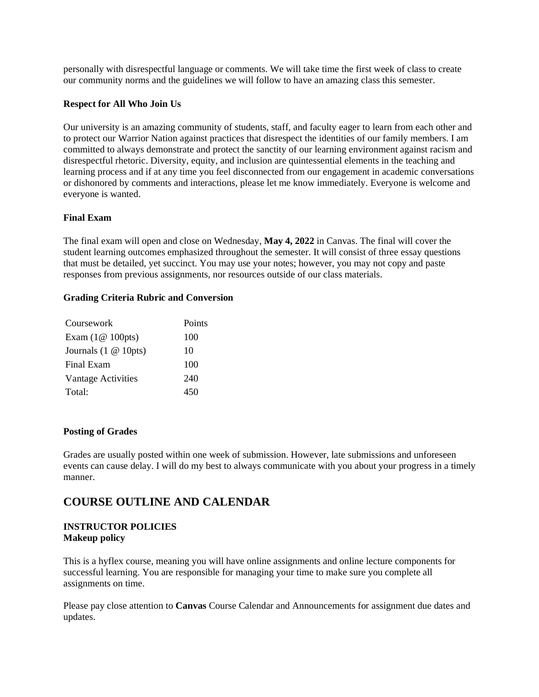personally with disrespectful language or comments. We will take time the first week of class to create our community norms and the guidelines we will follow to have an amazing class this semester.

#### **Respect for All Who Join Us**

Our university is an amazing community of students, staff, and faculty eager to learn from each other and to protect our Warrior Nation against practices that disrespect the identities of our family members. I am committed to always demonstrate and protect the sanctity of our learning environment against racism and disrespectful rhetoric. Diversity, equity, and inclusion are quintessential elements in the teaching and learning process and if at any time you feel disconnected from our engagement in academic conversations or dishonored by comments and interactions, please let me know immediately. Everyone is welcome and everyone is wanted.

#### **Final Exam**

The final exam will open and close on Wednesday, **May 4, 2022** in Canvas. The final will cover the student learning outcomes emphasized throughout the semester. It will consist of three essay questions that must be detailed, yet succinct. You may use your notes; however, you may not copy and paste responses from previous assignments, nor resources outside of our class materials.

#### **Grading Criteria Rubric and Conversion**

| Coursework                           | Points |
|--------------------------------------|--------|
| Exam $(1@ 100pts)$                   | 100    |
| Journals $(1 \otimes 10 \text{pts})$ | 10     |
| Final Exam                           | 100    |
| Vantage Activities                   | 240    |
| Total:                               | 450    |

#### **Posting of Grades**

Grades are usually posted within one week of submission. However, late submissions and unforeseen events can cause delay. I will do my best to always communicate with you about your progress in a timely manner.

# **COURSE OUTLINE AND CALENDAR**

#### **INSTRUCTOR POLICIES Makeup policy**

This is a hyflex course, meaning you will have online assignments and online lecture components for successful learning. You are responsible for managing your time to make sure you complete all assignments on time.

Please pay close attention to **Canvas** Course Calendar and Announcements for assignment due dates and updates.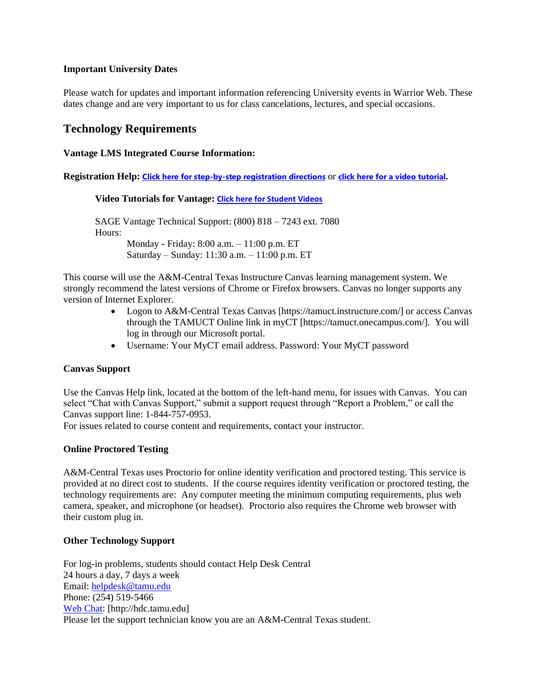#### **Important University Dates**

Please watch for updates and important information referencing University events in Warrior Web. These dates change and are very important to us for class cancelations, lectures, and special occasions.

# **Technology Requirements**

#### **Vantage LMS Integrated Course Information:**

**Registration Help: [Click here for step-by-step registration directions](https://nam04.safelinks.protection.outlook.com/?url=https%3A%2F%2Fcrmri.crm.dynamics.com%2Fapi%2FEmailAnalytics%2FOpenLink%3FTrackingId%3Dc8a2f09a-4a5c-ec11-8f8f-6045bd006394%26ConversationTrackingId%3D2dd345d3-2d43-410d-ba7d-a8b478f588d2%26ClientType%3Dwebclient%26OrganizationId%3D0e716ee6-06cc-46ed-8216-5f14a3a83fa2%26Salt%3D01de5d55-611b-466e-a782-d62b6eb9216f%26RedirectUrl%3Dhttps%253a%252f%252fsagevantage.softwareassist.com%252fContent%252fDownloads%252fVantage_Registration_and_Purchase_Info_for_Standalone_courses.pdf%26ValidityToken%3DmFchGxunBXw6St2OJUNRhlKhh3GMKcglGT2e4jz0s9s%253d&data=04%7C01%7Csanfrena.britt%40tamuct.edu%7C904d270222c546d415ba08d9be6e906d%7C9eed4e3000f744849ff193ad8005acec%7C0%7C0%7C637750204353964591%7CUnknown%7CTWFpbGZsb3d8eyJWIjoiMC4wLjAwMDAiLCJQIjoiV2luMzIiLCJBTiI6Ik1haWwiLCJXVCI6Mn0%3D%7C2000&sdata=QVUeWwSqauqXCjvGJHNnXElzxzsuU90I%2BztA%2FzxgNig%3D&reserved=0)** or **[click here for a video tutorial](https://nam04.safelinks.protection.outlook.com/?url=https%3A%2F%2Fcrmri.crm.dynamics.com%2Fapi%2FEmailAnalytics%2FOpenLink%3FTrackingId%3Dc8a2f09a-4a5c-ec11-8f8f-6045bd006394%26ConversationTrackingId%3D2dd345d3-2d43-410d-ba7d-a8b478f588d2%26ClientType%3Dwebclient%26OrganizationId%3D0e716ee6-06cc-46ed-8216-5f14a3a83fa2%26Salt%3Dee6c5912-94e3-4e73-a3c4-6eeccd9a05b6%26RedirectUrl%3Dhttps%253a%252f%252fyoutu.be%252fw0n2LdABw90%26ValidityToken%3Dg67uHrO2VxQpy86tcp0mI0EtiIxk%252b3KaIyl2dBS%252f5%252bs%253d&data=04%7C01%7Csanfrena.britt%40tamuct.edu%7C904d270222c546d415ba08d9be6e906d%7C9eed4e3000f744849ff193ad8005acec%7C0%7C0%7C637750204353964591%7CUnknown%7CTWFpbGZsb3d8eyJWIjoiMC4wLjAwMDAiLCJQIjoiV2luMzIiLCJBTiI6Ik1haWwiLCJXVCI6Mn0%3D%7C2000&sdata=8UtaGSDecSco1BiTpJylStrTX2hKr8apoYTti9bAGMQ%3D&reserved=0).**

**Video Tutorials for Vantage: [Click here for Student Videos](https://nam04.safelinks.protection.outlook.com/?url=https%3A%2F%2Fcrmri.crm.dynamics.com%2Fapi%2FEmailAnalytics%2FOpenLink%3FTrackingId%3Dc8a2f09a-4a5c-ec11-8f8f-6045bd006394%26ConversationTrackingId%3D2dd345d3-2d43-410d-ba7d-a8b478f588d2%26ClientType%3Dwebclient%26OrganizationId%3D0e716ee6-06cc-46ed-8216-5f14a3a83fa2%26Salt%3D5715ca26-69f3-4f9c-aed7-0187d95648aa%26RedirectUrl%3Dhttps%253a%252f%252fwww.youtube.com%252fplaylist%253flist%253dPLg8Hz5Alt2Fr5rDhigode_xZCAXR5RrQZ%26ValidityToken%3DiojQG2alicccFDeHGSs%252bpWKVxMeycTtW3jGehVS9mkM%253d&data=04%7C01%7Csanfrena.britt%40tamuct.edu%7C904d270222c546d415ba08d9be6e906d%7C9eed4e3000f744849ff193ad8005acec%7C0%7C0%7C637750204353964591%7CUnknown%7CTWFpbGZsb3d8eyJWIjoiMC4wLjAwMDAiLCJQIjoiV2luMzIiLCJBTiI6Ik1haWwiLCJXVCI6Mn0%3D%7C2000&sdata=zcAUNfvpi4zXsavWjB%2F5ClnZd1EOkkYweCzxXHNOx1U%3D&reserved=0)**

SAGE Vantage Technical Support: (800) 818 – 7243 ext. 7080 Hours: Monday - Friday: 8:00 a.m. – 11:00 p.m. ET Saturday – Sunday: 11:30 a.m. – 11:00 p.m. ET

This course will use the A&M-Central Texas Instructure Canvas learning management system. We strongly recommend the latest versions of Chrome or Firefox browsers. Canvas no longer supports any version of Internet Explorer.

- Logon to A&M-Central Texas Canvas [https://tamuct.instructure.com/] or access Canvas through the TAMUCT Online link in myCT [https://tamuct.onecampus.com/]. You will log in through our Microsoft portal.
- Username: Your MyCT email address. Password: Your MyCT password

#### **Canvas Support**

Use the Canvas Help link, located at the bottom of the left-hand menu, for issues with Canvas. You can select "Chat with Canvas Support," submit a support request through "Report a Problem," or call the Canvas support line: 1-844-757-0953.

For issues related to course content and requirements, contact your instructor.

#### **Online Proctored Testing**

A&M-Central Texas uses Proctorio for online identity verification and proctored testing. This service is provided at no direct cost to students. If the course requires identity verification or proctored testing, the technology requirements are: Any computer meeting the minimum computing requirements, plus web camera, speaker, and microphone (or headset). Proctorio also requires the Chrome web browser with their custom plug in.

#### **Other Technology Support**

For log-in problems, students should contact Help Desk Central 24 hours a day, 7 days a week Email: [helpdesk@tamu.edu](mailto:helpdesk@tamu.edu) Phone: (254) 519-5466 [Web Chat:](http://hdc.tamu.edu/) [http://hdc.tamu.edu] Please let the support technician know you are an A&M-Central Texas student.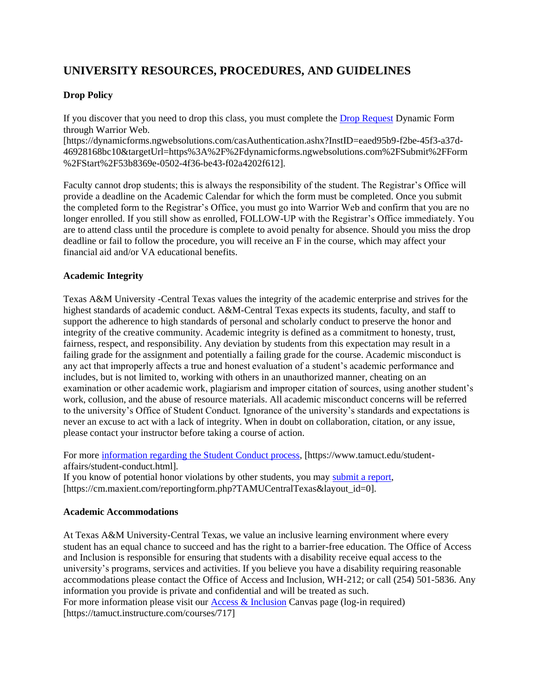# **UNIVERSITY RESOURCES, PROCEDURES, AND GUIDELINES**

### **Drop Policy**

If you discover that you need to drop this class, you must complete the [Drop Request](https://dynamicforms.ngwebsolutions.com/casAuthentication.ashx?InstID=eaed95b9-f2be-45f3-a37d-46928168bc10&targetUrl=https%3A%2F%2Fdynamicforms.ngwebsolutions.com%2FSubmit%2FForm%2FStart%2F53b8369e-0502-4f36-be43-f02a4202f612) Dynamic Form through Warrior Web.

[https://dynamicforms.ngwebsolutions.com/casAuthentication.ashx?InstID=eaed95b9-f2be-45f3-a37d-46928168bc10&targetUrl=https%3A%2F%2Fdynamicforms.ngwebsolutions.com%2FSubmit%2FForm %2FStart%2F53b8369e-0502-4f36-be43-f02a4202f612].

Faculty cannot drop students; this is always the responsibility of the student. The Registrar's Office will provide a deadline on the Academic Calendar for which the form must be completed. Once you submit the completed form to the Registrar's Office, you must go into Warrior Web and confirm that you are no longer enrolled. If you still show as enrolled, FOLLOW-UP with the Registrar's Office immediately. You are to attend class until the procedure is complete to avoid penalty for absence. Should you miss the drop deadline or fail to follow the procedure, you will receive an F in the course, which may affect your financial aid and/or VA educational benefits.

#### **Academic Integrity**

Texas A&M University -Central Texas values the integrity of the academic enterprise and strives for the highest standards of academic conduct. A&M-Central Texas expects its students, faculty, and staff to support the adherence to high standards of personal and scholarly conduct to preserve the honor and integrity of the creative community. Academic integrity is defined as a commitment to honesty, trust, fairness, respect, and responsibility. Any deviation by students from this expectation may result in a failing grade for the assignment and potentially a failing grade for the course. Academic misconduct is any act that improperly affects a true and honest evaluation of a student's academic performance and includes, but is not limited to, working with others in an unauthorized manner, cheating on an examination or other academic work, plagiarism and improper citation of sources, using another student's work, collusion, and the abuse of resource materials. All academic misconduct concerns will be referred to the university's Office of Student Conduct. Ignorance of the university's standards and expectations is never an excuse to act with a lack of integrity. When in doubt on collaboration, citation, or any issue, please contact your instructor before taking a course of action.

For more [information regarding the Student Conduct process,](https://www.tamuct.edu/student-affairs/student-conduct.html) [https://www.tamuct.edu/studentaffairs/student-conduct.html].

If you know of potential honor violations by other students, you may [submit a report,](https://cm.maxient.com/reportingform.php?TAMUCentralTexas&layout_id=0) [https://cm.maxient.com/reportingform.php?TAMUCentralTexas&layout\_id=0].

#### **Academic Accommodations**

At Texas A&M University-Central Texas, we value an inclusive learning environment where every student has an equal chance to succeed and has the right to a barrier-free education. The Office of Access and Inclusion is responsible for ensuring that students with a disability receive equal access to the university's programs, services and activities. If you believe you have a disability requiring reasonable accommodations please contact the Office of Access and Inclusion, WH-212; or call (254) 501-5836. Any information you provide is private and confidential and will be treated as such. For more information please visit our [Access & Inclusion](file://///courses/717) Canvas page (log-in required) [https://tamuct.instructure.com/courses/717]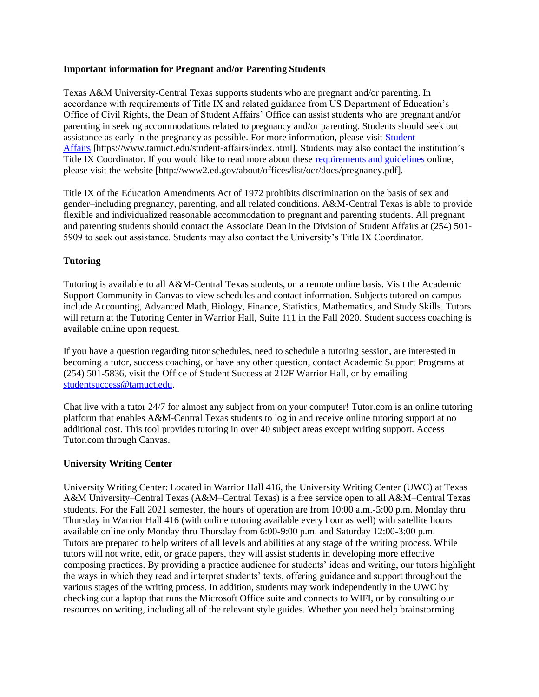#### **Important information for Pregnant and/or Parenting Students**

Texas A&M University-Central Texas supports students who are pregnant and/or parenting. In accordance with requirements of Title IX and related guidance from US Department of Education's Office of Civil Rights, the Dean of Student Affairs' Office can assist students who are pregnant and/or parenting in seeking accommodations related to pregnancy and/or parenting. Students should seek out assistance as early in the pregnancy as possible. For more information, please visit [Student](https://www.tamuct.edu/student-affairs/index.html)  [Affairs](https://www.tamuct.edu/student-affairs/index.html) [https://www.tamuct.edu/student-affairs/index.html]. Students may also contact the institution's Title IX Coordinator. If you would like to read more about these [requirements and guidelines](http://www2.ed.gov/about/offices/list/ocr/docs/pregnancy.pdf) online, please visit the website [http://www2.ed.gov/about/offices/list/ocr/docs/pregnancy.pdf].

Title IX of the Education Amendments Act of 1972 prohibits discrimination on the basis of sex and gender–including pregnancy, parenting, and all related conditions. A&M-Central Texas is able to provide flexible and individualized reasonable accommodation to pregnant and parenting students. All pregnant and parenting students should contact the Associate Dean in the Division of Student Affairs at (254) 501- 5909 to seek out assistance. Students may also contact the University's Title IX Coordinator.

#### **Tutoring**

Tutoring is available to all A&M-Central Texas students, on a remote online basis. Visit the Academic Support Community in Canvas to view schedules and contact information. Subjects tutored on campus include Accounting, Advanced Math, Biology, Finance, Statistics, Mathematics, and Study Skills. Tutors will return at the Tutoring Center in Warrior Hall, Suite 111 in the Fall 2020. Student success coaching is available online upon request.

If you have a question regarding tutor schedules, need to schedule a tutoring session, are interested in becoming a tutor, success coaching, or have any other question, contact Academic Support Programs at (254) 501-5836, visit the Office of Student Success at 212F Warrior Hall, or by emailing [studentsuccess@tamuct.edu.](mailto:studentsuccess@tamuct.edu)

Chat live with a tutor 24/7 for almost any subject from on your computer! Tutor.com is an online tutoring platform that enables A&M-Central Texas students to log in and receive online tutoring support at no additional cost. This tool provides tutoring in over 40 subject areas except writing support. Access Tutor.com through Canvas.

#### **University Writing Center**

University Writing Center: Located in Warrior Hall 416, the University Writing Center (UWC) at Texas A&M University–Central Texas (A&M–Central Texas) is a free service open to all A&M–Central Texas students. For the Fall 2021 semester, the hours of operation are from 10:00 a.m.-5:00 p.m. Monday thru Thursday in Warrior Hall 416 (with online tutoring available every hour as well) with satellite hours available online only Monday thru Thursday from 6:00-9:00 p.m. and Saturday 12:00-3:00 p.m. Tutors are prepared to help writers of all levels and abilities at any stage of the writing process. While tutors will not write, edit, or grade papers, they will assist students in developing more effective composing practices. By providing a practice audience for students' ideas and writing, our tutors highlight the ways in which they read and interpret students' texts, offering guidance and support throughout the various stages of the writing process. In addition, students may work independently in the UWC by checking out a laptop that runs the Microsoft Office suite and connects to WIFI, or by consulting our resources on writing, including all of the relevant style guides. Whether you need help brainstorming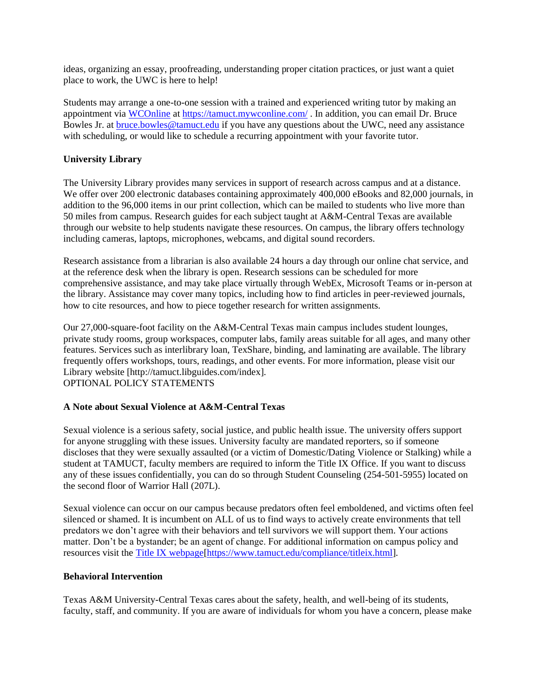ideas, organizing an essay, proofreading, understanding proper citation practices, or just want a quiet place to work, the UWC is here to help!

Students may arrange a one-to-one session with a trained and experienced writing tutor by making an appointment via [WCOnline](https://tamuct.mywconline.com/) at<https://tamuct.mywconline.com/> . In addition, you can email Dr. Bruce Bowles Jr. at [bruce.bowles@tamuct.edu](mailto:bruce.bowles@tamuct.edu) if you have any questions about the UWC, need any assistance with scheduling, or would like to schedule a recurring appointment with your favorite tutor.

#### **University Library**

The University Library provides many services in support of research across campus and at a distance. We offer over 200 electronic databases containing approximately 400,000 eBooks and 82,000 journals, in addition to the 96,000 items in our print collection, which can be mailed to students who live more than 50 miles from campus. Research guides for each subject taught at A&M-Central Texas are available through our website to help students navigate these resources. On campus, the library offers technology including cameras, laptops, microphones, webcams, and digital sound recorders.

Research assistance from a librarian is also available 24 hours a day through our online chat service, and at the reference desk when the library is open. Research sessions can be scheduled for more comprehensive assistance, and may take place virtually through WebEx, Microsoft Teams or in-person at the library. Assistance may cover many topics, including how to find articles in peer-reviewed journals, how to cite resources, and how to piece together research for written assignments.

Our 27,000-square-foot facility on the A&M-Central Texas main campus includes student lounges, private study rooms, group workspaces, computer labs, family areas suitable for all ages, and many other features. Services such as interlibrary loan, TexShare, binding, and laminating are available. The library frequently offers workshops, tours, readings, and other events. For more information, please visit our Library website [http://tamuct.libguides.com/index].

OPTIONAL POLICY STATEMENTS

#### **A Note about Sexual Violence at A&M-Central Texas**

Sexual violence is a serious safety, social justice, and public health issue. The university offers support for anyone struggling with these issues. University faculty are mandated reporters, so if someone discloses that they were sexually assaulted (or a victim of Domestic/Dating Violence or Stalking) while a student at TAMUCT, faculty members are required to inform the Title IX Office. If you want to discuss any of these issues confidentially, you can do so through Student Counseling (254-501-5955) located on the second floor of Warrior Hall (207L).

Sexual violence can occur on our campus because predators often feel emboldened, and victims often feel silenced or shamed. It is incumbent on ALL of us to find ways to actively create environments that tell predators we don't agree with their behaviors and tell survivors we will support them. Your actions matter. Don't be a bystander; be an agent of change. For additional information on campus policy and resources visit the [Title IX webpage\[https://www.tamuct.edu/compliance/titleix.html\]](https://www.tamuct.edu/compliance/titleix.html).

#### **Behavioral Intervention**

Texas A&M University-Central Texas cares about the safety, health, and well-being of its students, faculty, staff, and community. If you are aware of individuals for whom you have a concern, please make